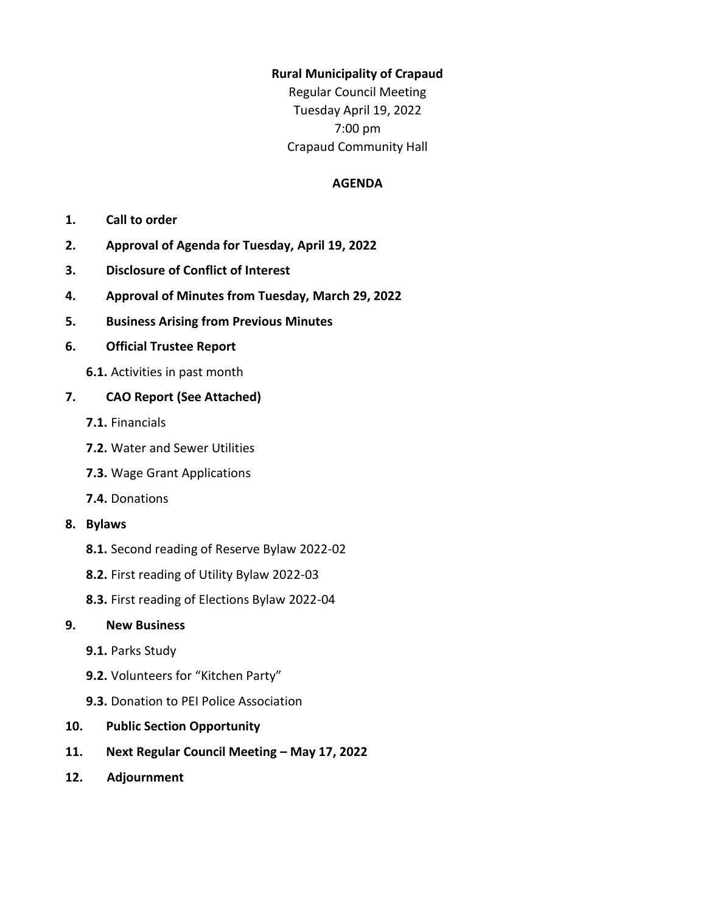### **Rural Municipality of Crapaud**

Regular Council Meeting Tuesday April 19, 2022 7:00 pm Crapaud Community Hall

### **AGENDA**

- **1. Call to order**
- **2. Approval of Agenda for Tuesday, April 19, 2022**
- **3. Disclosure of Conflict of Interest**
- **4. Approval of Minutes from Tuesday, March 29, 2022**
- **5. Business Arising from Previous Minutes**

### **6. Official Trustee Report**

**6.1.** Activities in past month

### **7. CAO Report (See Attached)**

- **7.1.** Financials
- **7.2.** Water and Sewer Utilities
- **7.3.** Wage Grant Applications
- **7.4.** Donations
- **8. Bylaws** 
	- **8.1.** Second reading of Reserve Bylaw 2022-02
	- **8.2.** First reading of Utility Bylaw 2022-03
	- **8.3.** First reading of Elections Bylaw 2022-04

### **9. New Business**

- **9.1.** Parks Study
- **9.2.** Volunteers for "Kitchen Party"
- **9.3.** Donation to PEI Police Association
- **10. Public Section Opportunity**
- **11. Next Regular Council Meeting – May 17, 2022**
- **12. Adjournment**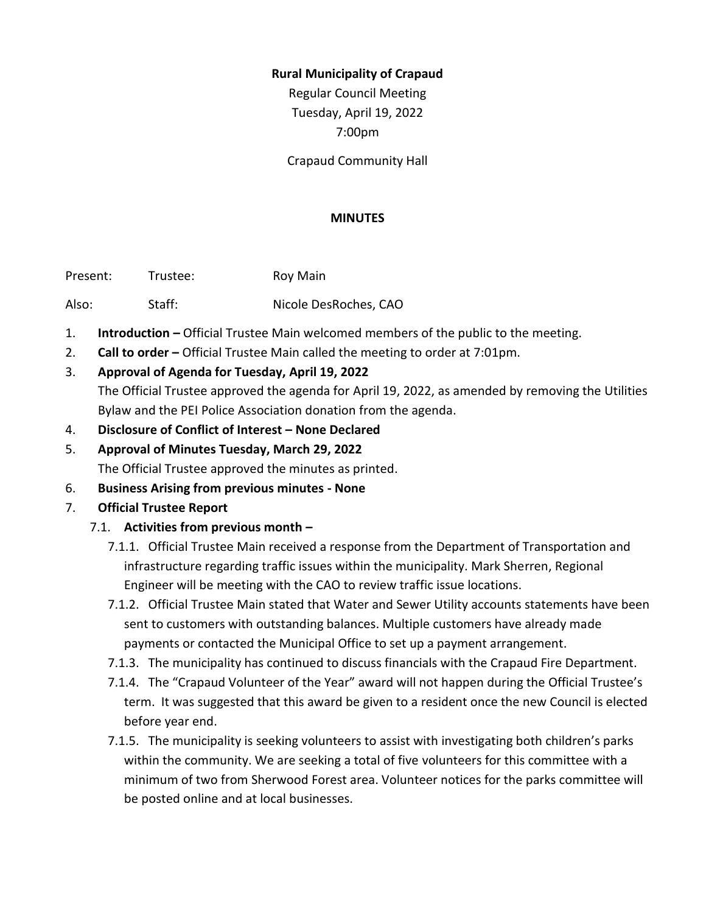### **Rural Municipality of Crapaud**

Regular Council Meeting Tuesday, April 19, 2022 7:00pm

Crapaud Community Hall

#### **MINUTES**

Present: Trustee: Roy Main

Also: Staff: Nicole DesRoches, CAO

- 1. **Introduction –** Official Trustee Main welcomed members of the public to the meeting.
- 2. **Call to order –** Official Trustee Main called the meeting to order at 7:01pm.
- 3. **Approval of Agenda for Tuesday, April 19, 2022**

The Official Trustee approved the agenda for April 19, 2022, as amended by removing the Utilities Bylaw and the PEI Police Association donation from the agenda.

- 4. **Disclosure of Conflict of Interest – None Declared**
- 5. **Approval of Minutes Tuesday, March 29, 2022** The Official Trustee approved the minutes as printed.
- 6. **Business Arising from previous minutes - None**
- 7. **Official Trustee Report**
	- 7.1. **Activities from previous month –**
		- 7.1.1. Official Trustee Main received a response from the Department of Transportation and infrastructure regarding traffic issues within the municipality. Mark Sherren, Regional Engineer will be meeting with the CAO to review traffic issue locations.
		- 7.1.2. Official Trustee Main stated that Water and Sewer Utility accounts statements have been sent to customers with outstanding balances. Multiple customers have already made payments or contacted the Municipal Office to set up a payment arrangement.
		- 7.1.3. The municipality has continued to discuss financials with the Crapaud Fire Department.
		- 7.1.4. The "Crapaud Volunteer of the Year" award will not happen during the Official Trustee's term. It was suggested that this award be given to a resident once the new Council is elected before year end.
		- 7.1.5. The municipality is seeking volunteers to assist with investigating both children's parks within the community. We are seeking a total of five volunteers for this committee with a minimum of two from Sherwood Forest area. Volunteer notices for the parks committee will be posted online and at local businesses.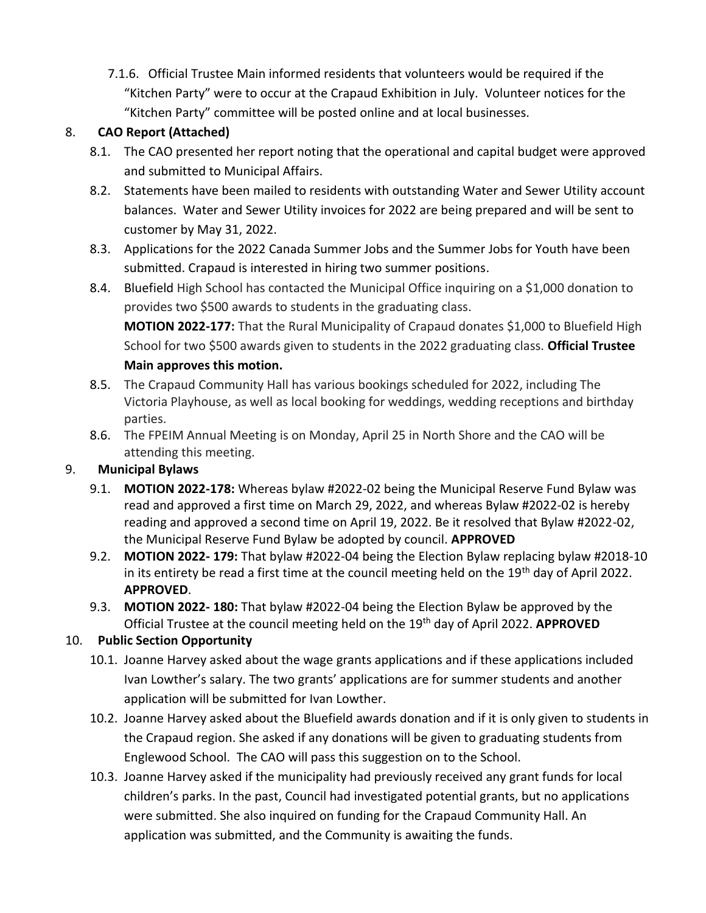7.1.6. Official Trustee Main informed residents that volunteers would be required if the "Kitchen Party" were to occur at the Crapaud Exhibition in July. Volunteer notices for the "Kitchen Party" committee will be posted online and at local businesses.

# 8. **CAO Report (Attached)**

- 8.1. The CAO presented her report noting that the operational and capital budget were approved and submitted to Municipal Affairs.
- 8.2. Statements have been mailed to residents with outstanding Water and Sewer Utility account balances. Water and Sewer Utility invoices for 2022 are being prepared and will be sent to customer by May 31, 2022.
- 8.3. Applications for the 2022 Canada Summer Jobs and the Summer Jobs for Youth have been submitted. Crapaud is interested in hiring two summer positions.
- 8.4. Bluefield High School has contacted the Municipal Office inquiring on a \$1,000 donation to provides two \$500 awards to students in the graduating class.

**MOTION 2022-177:** That the Rural Municipality of Crapaud donates \$1,000 to Bluefield High School for two \$500 awards given to students in the 2022 graduating class. **Official Trustee Main approves this motion.**

- 8.5. The Crapaud Community Hall has various bookings scheduled for 2022, including The Victoria Playhouse, as well as local booking for weddings, wedding receptions and birthday parties.
- 8.6. The FPEIM Annual Meeting is on Monday, April 25 in North Shore and the CAO will be attending this meeting.

# 9. **Municipal Bylaws**

- 9.1. **MOTION 2022-178:** Whereas bylaw #2022-02 being the Municipal Reserve Fund Bylaw was read and approved a first time on March 29, 2022, and whereas Bylaw #2022-02 is hereby reading and approved a second time on April 19, 2022. Be it resolved that Bylaw #2022-02, the Municipal Reserve Fund Bylaw be adopted by council. **APPROVED**
- 9.2. **MOTION 2022- 179:** That bylaw #2022-04 being the Election Bylaw replacing bylaw #2018-10 in its entirety be read a first time at the council meeting held on the 19<sup>th</sup> day of April 2022. **APPROVED**.
- 9.3. **MOTION 2022- 180:** That bylaw #2022-04 being the Election Bylaw be approved by the Official Trustee at the council meeting held on the 19th day of April 2022. **APPROVED**

# 10. **Public Section Opportunity**

- 10.1. Joanne Harvey asked about the wage grants applications and if these applications included Ivan Lowther's salary. The two grants' applications are for summer students and another application will be submitted for Ivan Lowther.
- 10.2. Joanne Harvey asked about the Bluefield awards donation and if it is only given to students in the Crapaud region. She asked if any donations will be given to graduating students from Englewood School. The CAO will pass this suggestion on to the School.
- 10.3. Joanne Harvey asked if the municipality had previously received any grant funds for local children's parks. In the past, Council had investigated potential grants, but no applications were submitted. She also inquired on funding for the Crapaud Community Hall. An application was submitted, and the Community is awaiting the funds.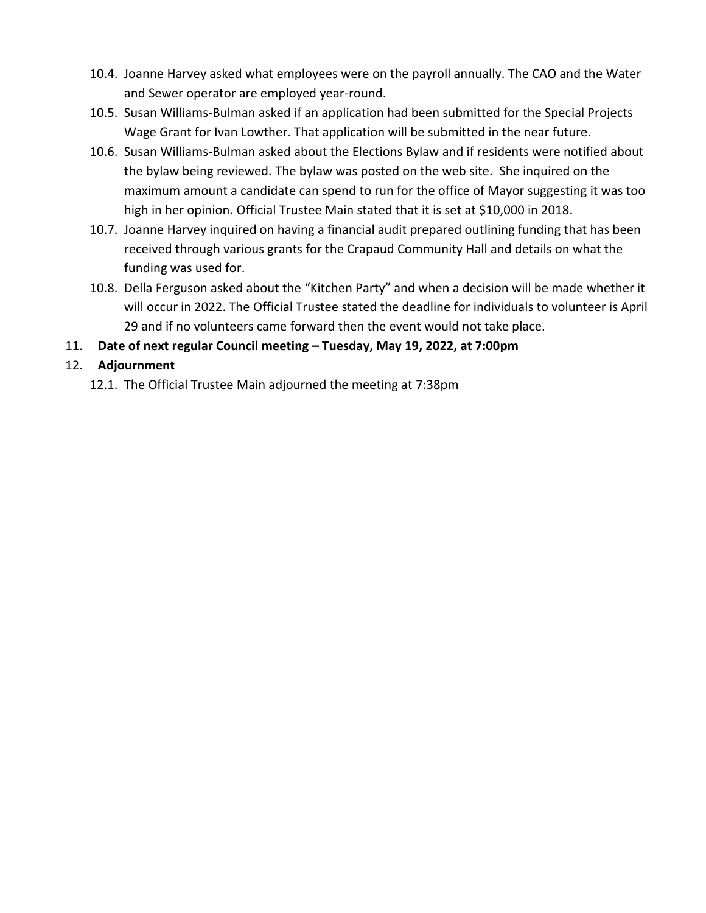- 10.4. Joanne Harvey asked what employees were on the payroll annually. The CAO and the Water and Sewer operator are employed year-round.
- 10.5. Susan Williams-Bulman asked if an application had been submitted for the Special Projects Wage Grant for Ivan Lowther. That application will be submitted in the near future.
- 10.6. Susan Williams-Bulman asked about the Elections Bylaw and if residents were notified about the bylaw being reviewed. The bylaw was posted on the web site. She inquired on the maximum amount a candidate can spend to run for the office of Mayor suggesting it was too high in her opinion. Official Trustee Main stated that it is set at \$10,000 in 2018.
- 10.7. Joanne Harvey inquired on having a financial audit prepared outlining funding that has been received through various grants for the Crapaud Community Hall and details on what the funding was used for.
- 10.8. Della Ferguson asked about the "Kitchen Party" and when a decision will be made whether it will occur in 2022. The Official Trustee stated the deadline for individuals to volunteer is April 29 and if no volunteers came forward then the event would not take place.
- 11. **Date of next regular Council meeting – Tuesday, May 19, 2022, at 7:00pm**

# 12. **Adjournment**

12.1. The Official Trustee Main adjourned the meeting at 7:38pm